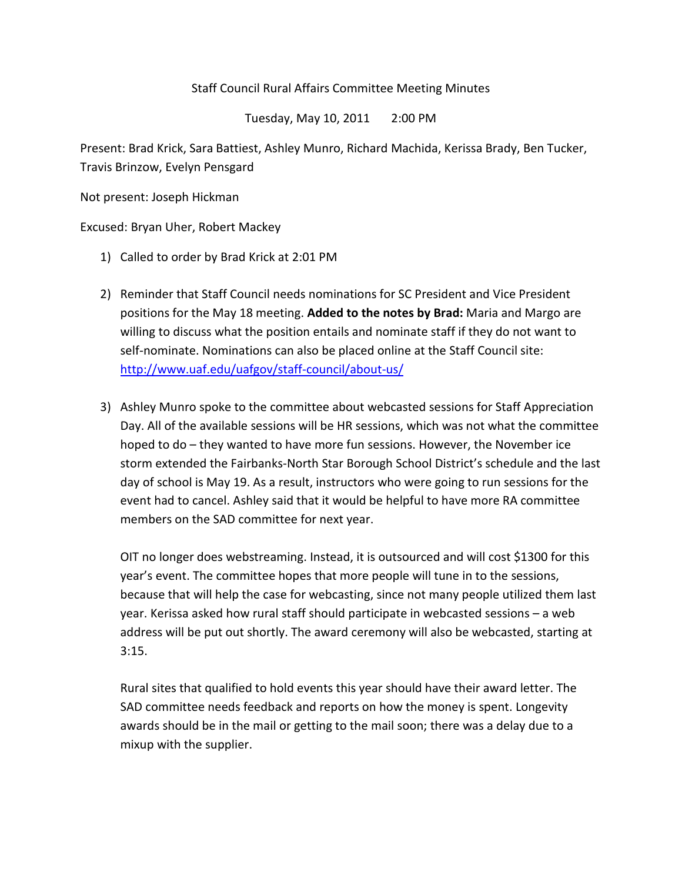## Staff Council Rural Affairs Committee Meeting Minutes

Tuesday, May 10, 2011 2:00 PM

Present: Brad Krick, Sara Battiest, Ashley Munro, Richard Machida, Kerissa Brady, Ben Tucker, Travis Brinzow, Evelyn Pensgard

Not present: Joseph Hickman

Excused: Bryan Uher, Robert Mackey

- 1) Called to order by Brad Krick at 2:01 PM
- 2) Reminder that Staff Council needs nominations for SC President and Vice President positions for the May 18 meeting. **Added to the notes by Brad:** Maria and Margo are willing to discuss what the position entails and nominate staff if they do not want to self-nominate. Nominations can also be placed online at the Staff Council site: <http://www.uaf.edu/uafgov/staff-council/about-us/>
- 3) Ashley Munro spoke to the committee about webcasted sessions for Staff Appreciation Day. All of the available sessions will be HR sessions, which was not what the committee hoped to do – they wanted to have more fun sessions. However, the November ice storm extended the Fairbanks-North Star Borough School District's schedule and the last day of school is May 19. As a result, instructors who were going to run sessions for the event had to cancel. Ashley said that it would be helpful to have more RA committee members on the SAD committee for next year.

OIT no longer does webstreaming. Instead, it is outsourced and will cost \$1300 for this year's event. The committee hopes that more people will tune in to the sessions, because that will help the case for webcasting, since not many people utilized them last year. Kerissa asked how rural staff should participate in webcasted sessions – a web address will be put out shortly. The award ceremony will also be webcasted, starting at  $3:15.$ 

Rural sites that qualified to hold events this year should have their award letter. The SAD committee needs feedback and reports on how the money is spent. Longevity awards should be in the mail or getting to the mail soon; there was a delay due to a mixup with the supplier.